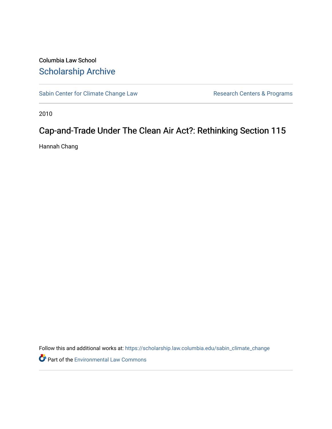# Columbia Law School [Scholarship Archive](https://scholarship.law.columbia.edu/)

[Sabin Center for Climate Change Law](https://scholarship.law.columbia.edu/sabin_climate_change) Research Centers & Programs

2010

# Cap-and-Trade Under The Clean Air Act?: Rethinking Section 115

Hannah Chang

Follow this and additional works at: [https://scholarship.law.columbia.edu/sabin\\_climate\\_change](https://scholarship.law.columbia.edu/sabin_climate_change?utm_source=scholarship.law.columbia.edu%2Fsabin_climate_change%2F174&utm_medium=PDF&utm_campaign=PDFCoverPages) 

Part of the [Environmental Law Commons](http://network.bepress.com/hgg/discipline/599?utm_source=scholarship.law.columbia.edu%2Fsabin_climate_change%2F174&utm_medium=PDF&utm_campaign=PDFCoverPages)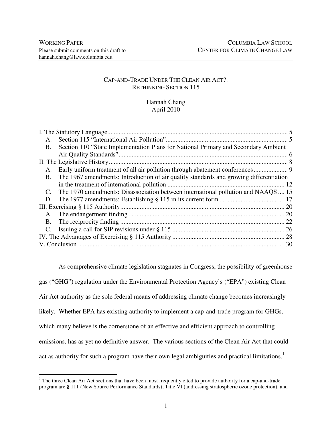# CAP-AND-TRADE UNDER THE CLEAN AIR ACT?: RETHINKING SECTION 115

# Hannah Chang April 2010

| Section 110 "State Implementation Plans for National Primary and Secondary Ambient<br><b>B.</b>     |  |
|-----------------------------------------------------------------------------------------------------|--|
|                                                                                                     |  |
|                                                                                                     |  |
|                                                                                                     |  |
| The 1967 amendments: Introduction of air quality standards and growing differentiation<br><b>B.</b> |  |
|                                                                                                     |  |
| The 1970 amendments: Disassociation between international pollution and NAAQS  15<br>C.             |  |
|                                                                                                     |  |
|                                                                                                     |  |
|                                                                                                     |  |
|                                                                                                     |  |
|                                                                                                     |  |
|                                                                                                     |  |
|                                                                                                     |  |

As comprehensive climate legislation stagnates in Congress, the possibility of greenhouse gas ("GHG") regulation under the Environmental Protection Agency's ("EPA") existing Clean Air Act authority as the sole federal means of addressing climate change becomes increasingly likely. Whether EPA has existing authority to implement a cap-and-trade program for GHGs, which many believe is the cornerstone of an effective and efficient approach to controlling emissions, has as yet no definitive answer. The various sections of the Clean Air Act that could act as authority for such a program have their own legal ambiguities and practical limitations.<sup>1</sup>

<sup>&</sup>lt;sup>1</sup> The three Clean Air Act sections that have been most frequently cited to provide authority for a cap-and-trade program are § 111 (New Source Performance Standards), Title VI (addressing stratospheric ozone protection), and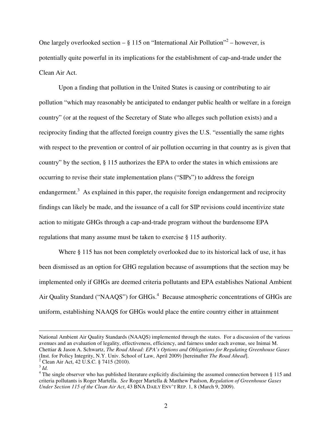One largely overlooked section  $-\frac{6}{9}$  115 on "International Air Pollution"<sup>2</sup> – however, is potentially quite powerful in its implications for the establishment of cap-and-trade under the Clean Air Act.

Upon a finding that pollution in the United States is causing or contributing to air pollution "which may reasonably be anticipated to endanger public health or welfare in a foreign country" (or at the request of the Secretary of State who alleges such pollution exists) and a reciprocity finding that the affected foreign country gives the U.S. "essentially the same rights with respect to the prevention or control of air pollution occurring in that country as is given that country" by the section, § 115 authorizes the EPA to order the states in which emissions are occurring to revise their state implementation plans ("SIPs") to address the foreign endangerment.<sup>3</sup> As explained in this paper, the requisite foreign endangerment and reciprocity findings can likely be made, and the issuance of a call for SIP revisions could incentivize state action to mitigate GHGs through a cap-and-trade program without the burdensome EPA regulations that many assume must be taken to exercise § 115 authority.

Where § 115 has not been completely overlooked due to its historical lack of use, it has been dismissed as an option for GHG regulation because of assumptions that the section may be implemented only if GHGs are deemed criteria pollutants and EPA establishes National Ambient Air Quality Standard ("NAAQS") for GHGs.<sup>4</sup> Because atmospheric concentrations of GHGs are uniform, establishing NAAQS for GHGs would place the entire country either in attainment

National Ambient Air Quality Standards (NAAQS) implemented through the states. For a discussion of the various avenues and an evaluation of legality, effectiveness, efficiency, and fairness under each avenue, see Inimai M. Chettiar & Jason A. Schwartz, *The Road Ahead: EPA's Options and Obligations for Regulating Greenhouse Gases*  (Inst. for Policy Integrity, N.Y. Univ. School of Law, April 2009) [hereinafter *The Road Ahead*].

<sup>2</sup> Clean Air Act, 42 U.S.C. § 7415 (2010).

<sup>3</sup> *Id.*

<sup>&</sup>lt;sup>4</sup> The single observer who has published literature explicitly disclaiming the assumed connection between § 115 and criteria pollutants is Roger Martella. *See* Roger Martella & Matthew Paulson, *Regulation of Greenhouse Gases Under Section 115 of the Clean Air Act*, 43 BNA DAILY ENV'T REP. 1, 8 (March 9, 2009).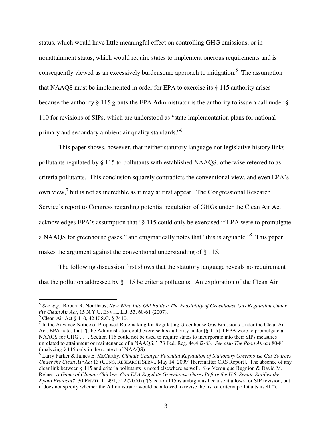status, which would have little meaningful effect on controlling GHG emissions, or in nonattainment status, which would require states to implement onerous requirements and is consequently viewed as an excessively burdensome approach to mitigation.<sup>5</sup> The assumption that NAAQS must be implemented in order for EPA to exercise its § 115 authority arises because the authority § 115 grants the EPA Administrator is the authority to issue a call under § 110 for revisions of SIPs, which are understood as "state implementation plans for national primary and secondary ambient air quality standards."<sup>6</sup>

This paper shows, however, that neither statutory language nor legislative history links pollutants regulated by § 115 to pollutants with established NAAQS, otherwise referred to as criteria pollutants. This conclusion squarely contradicts the conventional view, and even EPA's own view,<sup>7</sup> but is not as incredible as it may at first appear. The Congressional Research Service's report to Congress regarding potential regulation of GHGs under the Clean Air Act acknowledges EPA's assumption that "§ 115 could only be exercised if EPA were to promulgate a NAAQS for greenhouse gases," and enigmatically notes that "this is arguable."<sup>8</sup> This paper makes the argument against the conventional understanding of § 115.

The following discussion first shows that the statutory language reveals no requirement that the pollution addressed by § 115 be criteria pollutants. An exploration of the Clean Air

 5 *See, e.g.*, Robert R. Nordhaus, *New Wine Into Old Bottles: The Feasibility of Greenhouse Gas Regulation Under the Clean Air Act*, 15 N.Y.U. ENVTL. L.J. 53, 60-61 (2007).

<sup>6</sup> Clean Air Act § 110, 42 U.S.C. § 7410.

 $<sup>7</sup>$  In the Advance Notice of Proposed Rulemaking for Regulating Greenhouse Gas Emissions Under the Clean Air</sup> Act, EPA notes that "[t]he Administrator could exercise his authority under [§ 115] if EPA were to promulgate a NAAQS for GHG . . . . Section 115 could not be used to require states to incorporate into their SIPs measures unrelated to attainment or maintenance of a NAAQS." 73 Fed. Reg. 44,482-83. *See also The Road Ahead* 80-81 (analyzing § 115 only in the context of NAAQS).

<sup>8</sup> Larry Parker & James E. McCarthy, *Climate Change: Potential Regulation of Stationary Greenhouse Gas Sources Under the Clean Air Act* 13 (CONG. RESEARCH SERV., May 14, 2009) [hereinafter CRS Report]. The absence of any clear link between § 115 and criteria pollutants is noted elsewhere as well. *See* Veronique Bugnion & David M. Reiner, *A Game of Climate Chicken: Can EPA Regulate Greenhouse Gases Before the U.S. Senate Ratifies the Kyoto Protocol?*, 30 ENVTL. L. 491, 512 (2000) ("[S]ection 115 is ambiguous because it allows for SIP revision, but it does not specify whether the Administrator would be allowed to revise the list of criteria pollutants itself.").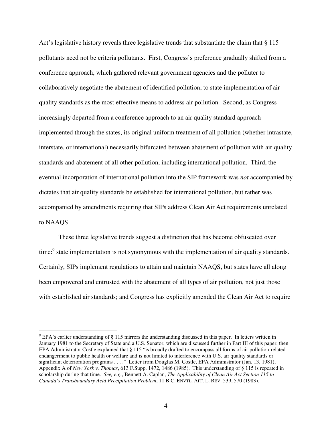Act's legislative history reveals three legislative trends that substantiate the claim that § 115 pollutants need not be criteria pollutants. First, Congress's preference gradually shifted from a conference approach, which gathered relevant government agencies and the polluter to collaboratively negotiate the abatement of identified pollution, to state implementation of air quality standards as the most effective means to address air pollution. Second, as Congress increasingly departed from a conference approach to an air quality standard approach implemented through the states, its original uniform treatment of all pollution (whether intrastate, interstate, or international) necessarily bifurcated between abatement of pollution with air quality standards and abatement of all other pollution, including international pollution. Third, the eventual incorporation of international pollution into the SIP framework was *not* accompanied by dictates that air quality standards be established for international pollution, but rather was accompanied by amendments requiring that SIPs address Clean Air Act requirements unrelated to NAAQS.

These three legislative trends suggest a distinction that has become obfuscated over time:<sup>9</sup> state implementation is not synonymous with the implementation of air quality standards. Certainly, SIPs implement regulations to attain and maintain NAAQS, but states have all along been empowered and entrusted with the abatement of all types of air pollution, not just those with established air standards; and Congress has explicitly amended the Clean Air Act to require

 $9$  EPA's earlier understanding of § 115 mirrors the understanding discussed in this paper. In letters written in January 1981 to the Secretary of State and a U.S. Senator, which are discussed further in Part III of this paper, then EPA Administrator Costle explained that § 115 "is broadly drafted to encompass all forms of air pollution-related endangerment to public health or welfare and is not limited to interference with U.S. air quality standards or significant deterioration programs . . . ." Letter from Douglas M. Costle, EPA Administrator (Jan. 13, 1981), Appendix A of *New York v. Thomas*, 613 F.Supp. 1472, 1486 (1985). This understanding of § 115 is repeated in scholarship during that time. *See, e.g.*, Bennett A. Caplan, *The Applicability of Clean Air Act Section 115 to Canada's Transboundary Acid Precipitation Problem*, 11 B.C. ENVTL. AFF. L. REV. 539, 570 (1983).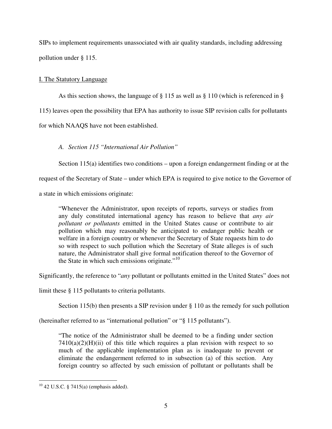SIPs to implement requirements unassociated with air quality standards, including addressing pollution under § 115.

# I. The Statutory Language

As this section shows, the language of § 115 as well as § 110 (which is referenced in § 115) leaves open the possibility that EPA has authority to issue SIP revision calls for pollutants for which NAAQS have not been established.

*A. Section 115 "International Air Pollution"* 

Section 115(a) identifies two conditions – upon a foreign endangerment finding or at the

request of the Secretary of State – under which EPA is required to give notice to the Governor of

a state in which emissions originate:

"Whenever the Administrator, upon receipts of reports, surveys or studies from any duly constituted international agency has reason to believe that *any air pollutant or pollutants* emitted in the United States cause or contribute to air pollution which may reasonably be anticipated to endanger public health or welfare in a foreign country or whenever the Secretary of State requests him to do so with respect to such pollution which the Secretary of State alleges is of such nature, the Administrator shall give formal notification thereof to the Governor of the State in which such emissions originate."<sup>10</sup>

Significantly, the reference to "*any* pollutant or pollutants emitted in the United States" does not

limit these § 115 pollutants to criteria pollutants.

Section 115(b) then presents a SIP revision under § 110 as the remedy for such pollution

(hereinafter referred to as "international pollution" or "§ 115 pollutants").

"The notice of the Administrator shall be deemed to be a finding under section  $7410(a)(2)(H)(ii)$  of this title which requires a plan revision with respect to so much of the applicable implementation plan as is inadequate to prevent or eliminate the endangerment referred to in subsection (a) of this section. Any foreign country so affected by such emission of pollutant or pollutants shall be

 $\overline{a}$  $10$  42 U.S.C. § 7415(a) (emphasis added).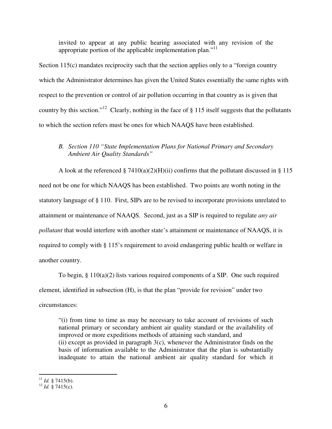invited to appear at any public hearing associated with any revision of the appropriate portion of the applicable implementation plan."<sup>11</sup>

Section 115(c) mandates reciprocity such that the section applies only to a "foreign country which the Administrator determines has given the United States essentially the same rights with respect to the prevention or control of air pollution occurring in that country as is given that country by this section."<sup>12</sup> Clearly, nothing in the face of  $\S$  115 itself suggests that the pollutants to which the section refers must be ones for which NAAQS have been established.

# *B. Section 110 "State Implementation Plans for National Primary and Secondary Ambient Air Quality Standards"*

A look at the referenced § 7410(a)(2)(H)(ii) confirms that the pollutant discussed in § 115 need not be one for which NAAQS has been established. Two points are worth noting in the statutory language of § 110. First, SIPs are to be revised to incorporate provisions unrelated to attainment or maintenance of NAAQS. Second, just as a SIP is required to regulate *any air pollutant* that would interfere with another state's attainment or maintenance of NAAQS, it is required to comply with § 115's requirement to avoid endangering public health or welfare in another country.

To begin,  $\S 110(a)(2)$  lists various required components of a SIP. One such required element, identified in subsection (H), is that the plan "provide for revision" under two circumstances:

"(i) from time to time as may be necessary to take account of revisions of such national primary or secondary ambient air quality standard or the availability of improved or more expeditions methods of attaining such standard, and (ii) except as provided in paragraph 3(c), whenever the Administrator finds on the basis of information available to the Administrator that the plan is substantially inadequate to attain the national ambient air quality standard for which it

 $\overline{a}$  $11$  *Id.* § 7415(b).

<sup>12</sup> *Id.* § 7415(c).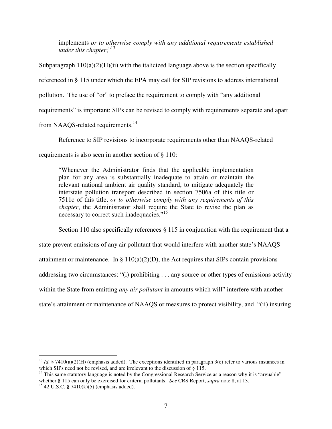implements *or to otherwise comply with any additional requirements established under this chapter*;"<sup>13</sup>

Subparagraph  $110(a)(2)(H)(ii)$  with the italicized language above is the section specifically referenced in § 115 under which the EPA may call for SIP revisions to address international pollution. The use of "or" to preface the requirement to comply with "any additional requirements" is important: SIPs can be revised to comply with requirements separate and apart from NAAQS-related requirements.<sup>14</sup>

Reference to SIP revisions to incorporate requirements other than NAAQS-related requirements is also seen in another section of § 110:

"Whenever the Administrator finds that the applicable implementation plan for any area is substantially inadequate to attain or maintain the relevant national ambient air quality standard, to mitigate adequately the interstate pollution transport described in section 7506a of this title or 7511c of this title, *or to otherwise comply with any requirements of this chapter*, the Administrator shall require the State to revise the plan as necessary to correct such inadequacies."<sup>15</sup>

Section 110 also specifically references § 115 in conjunction with the requirement that a state prevent emissions of any air pollutant that would interfere with another state's NAAQS attainment or maintenance. In §  $110(a)(2)(D)$ , the Act requires that SIPs contain provisions addressing two circumstances: "(i) prohibiting . . . any source or other types of emissions activity within the State from emitting *any air pollutant* in amounts which will" interfere with another state's attainment or maintenance of NAAQS or measures to protect visibility, and "(ii) insuring

<sup>&</sup>lt;sup>13</sup> *Id.* § 7410(a)(2)(H) (emphasis added). The exceptions identified in paragraph 3(c) refer to various instances in which SIPs need not be revised, and are irrelevant to the discussion of § 115.

 $14$  This same statutory language is noted by the Congressional Research Service as a reason why it is "arguable" whether § 115 can only be exercised for criteria pollutants. *See* CRS Report, *supra* note 8, at 13.

<sup>&</sup>lt;sup>15</sup> 42 U.S.C. § 7410(k)(5) (emphasis added).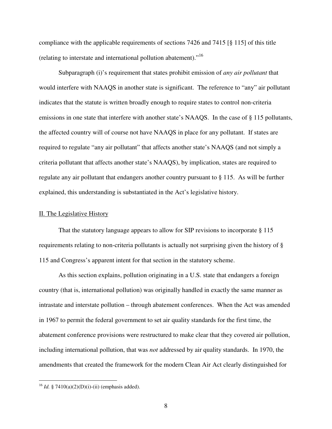compliance with the applicable requirements of sections 7426 and 7415 [§ 115] of this title (relating to interstate and international pollution abatement)."<sup>16</sup>

Subparagraph (i)'s requirement that states prohibit emission of *any air pollutant* that would interfere with NAAQS in another state is significant. The reference to "any" air pollutant indicates that the statute is written broadly enough to require states to control non-criteria emissions in one state that interfere with another state's NAAQS. In the case of § 115 pollutants, the affected country will of course not have NAAQS in place for any pollutant. If states are required to regulate "any air pollutant" that affects another state's NAAQS (and not simply a criteria pollutant that affects another state's NAAQS), by implication, states are required to regulate any air pollutant that endangers another country pursuant to § 115. As will be further explained, this understanding is substantiated in the Act's legislative history.

## II. The Legislative History

 That the statutory language appears to allow for SIP revisions to incorporate § 115 requirements relating to non-criteria pollutants is actually not surprising given the history of § 115 and Congress's apparent intent for that section in the statutory scheme.

As this section explains, pollution originating in a U.S. state that endangers a foreign country (that is, international pollution) was originally handled in exactly the same manner as intrastate and interstate pollution – through abatement conferences. When the Act was amended in 1967 to permit the federal government to set air quality standards for the first time, the abatement conference provisions were restructured to make clear that they covered air pollution, including international pollution, that was *not* addressed by air quality standards. In 1970, the amendments that created the framework for the modern Clean Air Act clearly distinguished for

<sup>16</sup> *Id.* § 7410(a)(2)(D)(i)-(ii) (emphasis added).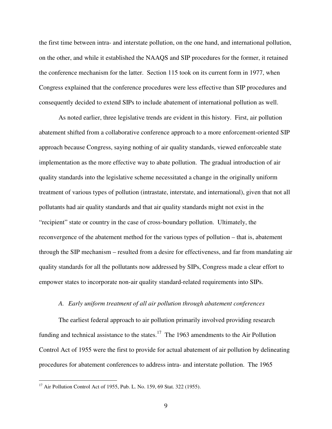the first time between intra- and interstate pollution, on the one hand, and international pollution, on the other, and while it established the NAAQS and SIP procedures for the former, it retained the conference mechanism for the latter. Section 115 took on its current form in 1977, when Congress explained that the conference procedures were less effective than SIP procedures and consequently decided to extend SIPs to include abatement of international pollution as well.

As noted earlier, three legislative trends are evident in this history. First, air pollution abatement shifted from a collaborative conference approach to a more enforcement-oriented SIP approach because Congress, saying nothing of air quality standards, viewed enforceable state implementation as the more effective way to abate pollution. The gradual introduction of air quality standards into the legislative scheme necessitated a change in the originally uniform treatment of various types of pollution (intrastate, interstate, and international), given that not all pollutants had air quality standards and that air quality standards might not exist in the "recipient" state or country in the case of cross-boundary pollution. Ultimately, the reconvergence of the abatement method for the various types of pollution – that is, abatement through the SIP mechanism – resulted from a desire for effectiveness, and far from mandating air quality standards for all the pollutants now addressed by SIPs, Congress made a clear effort to empower states to incorporate non-air quality standard-related requirements into SIPs.

### *A. Early uniform treatment of all air pollution through abatement conferences*

The earliest federal approach to air pollution primarily involved providing research funding and technical assistance to the states.<sup>17</sup> The 1963 amendments to the Air Pollution Control Act of 1955 were the first to provide for actual abatement of air pollution by delineating procedures for abatement conferences to address intra- and interstate pollution. The 1965

<sup>&</sup>lt;sup>17</sup> Air Pollution Control Act of 1955, Pub. L. No. 159, 69 Stat. 322 (1955).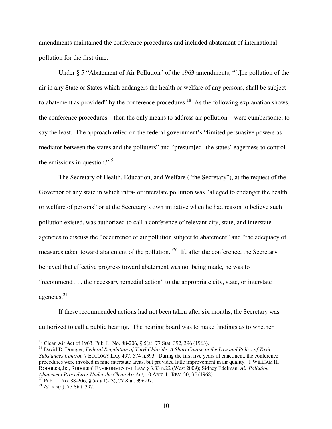amendments maintained the conference procedures and included abatement of international pollution for the first time.

Under § 5 "Abatement of Air Pollution" of the 1963 amendments, "[t]he pollution of the air in any State or States which endangers the health or welfare of any persons, shall be subject to abatement as provided" by the conference procedures.<sup>18</sup> As the following explanation shows, the conference procedures – then the only means to address air pollution – were cumbersome, to say the least. The approach relied on the federal government's "limited persuasive powers as mediator between the states and the polluters" and "presum[ed] the states' eagerness to control the emissions in question."<sup>19</sup>

The Secretary of Health, Education, and Welfare ("the Secretary"), at the request of the Governor of any state in which intra- or interstate pollution was "alleged to endanger the health or welfare of persons" or at the Secretary's own initiative when he had reason to believe such pollution existed, was authorized to call a conference of relevant city, state, and interstate agencies to discuss the "occurrence of air pollution subject to abatement" and "the adequacy of measures taken toward abatement of the pollution."<sup>20</sup> If, after the conference, the Secretary believed that effective progress toward abatement was not being made, he was to "recommend . . . the necessary remedial action" to the appropriate city, state, or interstate agencies. $21$ 

If these recommended actions had not been taken after six months, the Secretary was authorized to call a public hearing. The hearing board was to make findings as to whether

<sup>&</sup>lt;sup>18</sup> Clean Air Act of 1963, Pub. L. No. 88-206, § 5(a), 77 Stat. 392, 396 (1963).

<sup>19</sup> David D. Doniger, *Federal Regulation of Vinyl Chloride: A Short Course in the Law and Policy of Toxic Substances Control,* 7 ECOLOGY L.Q. 497, 574 n.393. During the first five years of enactment, the conference procedures were invoked in nine interstate areas, but provided little improvement in air quality. 1 WILLIAM H. RODGERS, JR., RODGERS' ENVIRONMENTAL LAW § 3.33 n.22 (West 2009); Sidney Edelman, *Air Pollution Abatement Procedures Under the Clean Air Act*, 10 ARIZ. L. REV. 30, 35 (1968).

<sup>&</sup>lt;sup>20</sup> Pub. L. No. 88-206, § 5(c)(1)-(3), 77 Stat. 396-97.

<sup>21</sup> *Id.* § 5(d), 77 Stat. 397.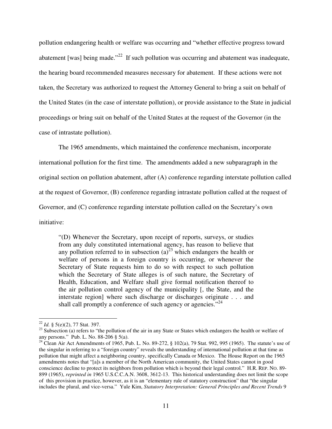pollution endangering health or welfare was occurring and "whether effective progress toward abatement [was] being made."<sup>22</sup> If such pollution was occurring and abatement was inadequate, the hearing board recommended measures necessary for abatement. If these actions were not taken, the Secretary was authorized to request the Attorney General to bring a suit on behalf of the United States (in the case of interstate pollution), or provide assistance to the State in judicial proceedings or bring suit on behalf of the United States at the request of the Governor (in the case of intrastate pollution).

The 1965 amendments, which maintained the conference mechanism, incorporate international pollution for the first time. The amendments added a new subparagraph in the original section on pollution abatement, after (A) conference regarding interstate pollution called at the request of Governor, (B) conference regarding intrastate pollution called at the request of Governor, and (C) conference regarding interstate pollution called on the Secretary's own initiative:

"(D) Whenever the Secretary, upon receipt of reports, surveys, or studies from any duly constituted international agency, has reason to believe that any pollution referred to in subsection  $(a)^{23}$  which endangers the health or welfare of persons in a foreign country is occurring, or whenever the Secretary of State requests him to do so with respect to such pollution which the Secretary of State alleges is of such nature, the Secretary of Health, Education, and Welfare shall give formal notification thereof to the air pollution control agency of the municipality [, the State, and the interstate region] where such discharge or discharges originate . . . and shall call promptly a conference of such agency or agencies."<sup>24</sup>

 $\overline{a}$ <sup>22</sup> *Id.* § 5(e)(2), 77 Stat. 397.

<sup>&</sup>lt;sup>23</sup> Subsection (a) refers to "the pollution of the air in any State or States which endangers the health or welfare of any persons." Pub. L. No. 88-206 § 5(a).

<sup>&</sup>lt;sup>24</sup> Clean Air Act Amendments of 1965, Pub. L. No. 89-272,  $\S$  102(a), 79 Stat. 992, 995 (1965). The statute's use of the singular in referring to a "foreign country" reveals the understanding of international pollution at that time as pollution that might affect a neighboring country, specifically Canada or Mexico. The House Report on the 1965 amendments notes that "[a]s a member of the North American community, the United States cannot in good conscience decline to protect its neighbors from pollution which is beyond their legal control." H.R. REP. NO. 89- 899 (1965), *reprinted in* 1965 U.S.C.C.A.N. 3608, 3612-13. This historical understanding does not limit the scope of this provision in practice, however, as it is an "elementary rule of statutory construction" that "the singular includes the plural, and vice-versa." Yule Kim, *Statutory Interpretation: General Principles and Recent Trends* 9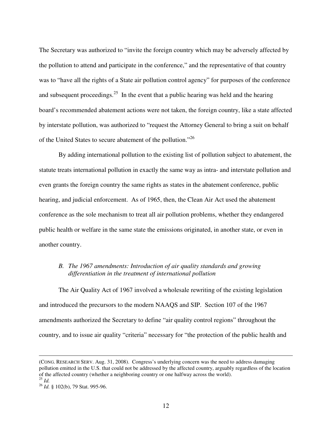The Secretary was authorized to "invite the foreign country which may be adversely affected by the pollution to attend and participate in the conference," and the representative of that country was to "have all the rights of a State air pollution control agency" for purposes of the conference and subsequent proceedings.<sup>25</sup> In the event that a public hearing was held and the hearing board's recommended abatement actions were not taken, the foreign country, like a state affected by interstate pollution, was authorized to "request the Attorney General to bring a suit on behalf of the United States to secure abatement of the pollution."<sup>26</sup>

 By adding international pollution to the existing list of pollution subject to abatement, the statute treats international pollution in exactly the same way as intra- and interstate pollution and even grants the foreign country the same rights as states in the abatement conference, public hearing, and judicial enforcement. As of 1965, then, the Clean Air Act used the abatement conference as the sole mechanism to treat all air pollution problems, whether they endangered public health or welfare in the same state the emissions originated, in another state, or even in another country.

# *B. The 1967 amendments: Introduction of air quality standards and growing differentiation in the treatment of international pollution*

The Air Quality Act of 1967 involved a wholesale rewriting of the existing legislation and introduced the precursors to the modern NAAQS and SIP. Section 107 of the 1967 amendments authorized the Secretary to define "air quality control regions" throughout the country, and to issue air quality "criteria" necessary for "the protection of the public health and

<sup>(</sup>CONG. RESEARCH SERV. Aug. 31, 2008). Congress's underlying concern was the need to address damaging pollution emitted in the U.S. that could not be addressed by the affected country, arguably regardless of the location of the affected country (whether a neighboring country or one halfway across the world).

 $^{25}$  *Id.* 

<sup>26</sup> *Id.* § 102(b), 79 Stat. 995-96.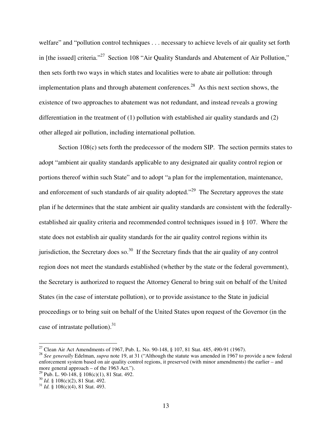welfare" and "pollution control techniques . . . necessary to achieve levels of air quality set forth in [the issued] criteria."<sup>27</sup> Section 108 "Air Quality Standards and Abatement of Air Pollution," then sets forth two ways in which states and localities were to abate air pollution: through implementation plans and through abatement conferences.<sup>28</sup> As this next section shows, the existence of two approaches to abatement was not redundant, and instead reveals a growing differentiation in the treatment of (1) pollution with established air quality standards and (2) other alleged air pollution, including international pollution.

Section 108(c) sets forth the predecessor of the modern SIP. The section permits states to adopt "ambient air quality standards applicable to any designated air quality control region or portions thereof within such State" and to adopt "a plan for the implementation, maintenance, and enforcement of such standards of air quality adopted."<sup>29</sup> The Secretary approves the state plan if he determines that the state ambient air quality standards are consistent with the federallyestablished air quality criteria and recommended control techniques issued in § 107. Where the state does not establish air quality standards for the air quality control regions within its jurisdiction, the Secretary does so.<sup>30</sup> If the Secretary finds that the air quality of any control region does not meet the standards established (whether by the state or the federal government), the Secretary is authorized to request the Attorney General to bring suit on behalf of the United States (in the case of interstate pollution), or to provide assistance to the State in judicial proceedings or to bring suit on behalf of the United States upon request of the Governor (in the case of intrastate pollution). $31$ 

<sup>&</sup>lt;sup>27</sup> Clean Air Act Amendments of 1967, Pub. L. No. 90-148, § 107, 81 Stat. 485, 490-91 (1967).

<sup>28</sup> *See generally* Edelman, *supra* note 19, at 31 ("Although the statute was amended in 1967 to provide a new federal enforcement system based on air quality control regions, it preserved (with minor amendments) the earlier – and more general approach – of the 1963 Act.").

<sup>&</sup>lt;sup>29</sup> Pub. L. 90-148, § 108(c)(1), 81 Stat. 492.

<sup>30</sup> *Id.* § 108(c)(2), 81 Stat. 492.

<sup>31</sup> *Id.* § 108(c)(4), 81 Stat. 493.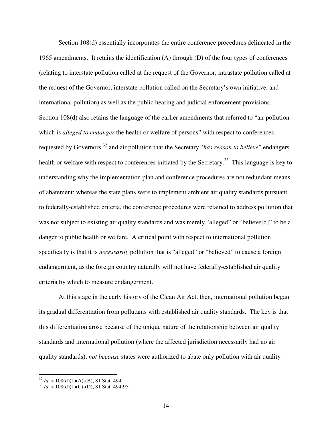Section 108(d) essentially incorporates the entire conference procedures delineated in the 1965 amendments. It retains the identification (A) through (D) of the four types of conferences (relating to interstate pollution called at the request of the Governor, intrastate pollution called at the request of the Governor, interstate pollution called on the Secretary's own initiative, and international pollution) as well as the public hearing and judicial enforcement provisions. Section 108(d) also retains the language of the earlier amendments that referred to "air pollution which is *alleged to endanger* the health or welfare of persons" with respect to conferences requested by Governors,<sup>32</sup> and air pollution that the Secretary "*has reason to believe*" endangers health or welfare with respect to conferences initiated by the Secretary.<sup>33</sup> This language is key to understanding why the implementation plan and conference procedures are not redundant means of abatement: whereas the state plans were to implement ambient air quality standards pursuant to federally-established criteria, the conference procedures were retained to address pollution that was not subject to existing air quality standards and was merely "alleged" or "believe[d]" to be a danger to public health or welfare. A critical point with respect to international pollution specifically is that it is *necessarily* pollution that is "alleged" or "believed" to cause a foreign endangerment, as the foreign country naturally will not have federally-established air quality criteria by which to measure endangerment.

At this stage in the early history of the Clean Air Act, then, international pollution began its gradual differentiation from pollutants with established air quality standards. The key is that this differentiation arose because of the unique nature of the relationship between air quality standards and international pollution (where the affected jurisdiction necessarily had no air quality standards), *not because* states were authorized to abate only pollution with air quality

<sup>32</sup> *Id.* § 108(d)(1)(A)-(B), 81 Stat. 494.

<sup>33</sup> *Id.* § 108(d)(1)(C)-(D), 81 Stat. 494-95.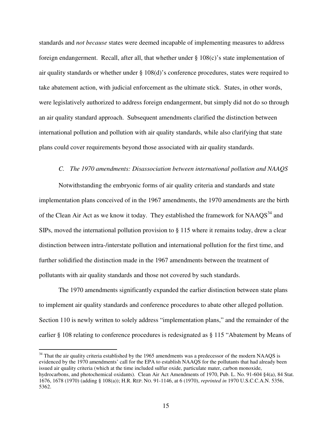standards and *not because* states were deemed incapable of implementing measures to address foreign endangerment. Recall, after all, that whether under § 108(c)'s state implementation of air quality standards or whether under § 108(d)'s conference procedures, states were required to take abatement action, with judicial enforcement as the ultimate stick. States, in other words, were legislatively authorized to address foreign endangerment, but simply did not do so through an air quality standard approach. Subsequent amendments clarified the distinction between international pollution and pollution with air quality standards, while also clarifying that state plans could cover requirements beyond those associated with air quality standards.

#### *C. The 1970 amendments: Disassociation between international pollution and NAAQS*

 Notwithstanding the embryonic forms of air quality criteria and standards and state implementation plans conceived of in the 1967 amendments, the 1970 amendments are the birth of the Clean Air Act as we know it today. They established the framework for  $NAAQS<sup>34</sup>$  and SIPs, moved the international pollution provision to § 115 where it remains today, drew a clear distinction between intra-/interstate pollution and international pollution for the first time, and further solidified the distinction made in the 1967 amendments between the treatment of pollutants with air quality standards and those not covered by such standards.

The 1970 amendments significantly expanded the earlier distinction between state plans to implement air quality standards and conference procedures to abate other alleged pollution. Section 110 is newly written to solely address "implementation plans," and the remainder of the earlier § 108 relating to conference procedures is redesignated as § 115 "Abatement by Means of

 $34$  That the air quality criteria established by the 1965 amendments was a predecessor of the modern NAAQS is evidenced by the 1970 amendments' call for the EPA to establish NAAQS for the pollutants that had already been issued air quality criteria (which at the time included sulfur oxide, particulate mater, carbon monoxide, hydrocarbons, and photochemical oxidants). Clean Air Act Amendments of 1970, Pub. L. No. 91-604 §4(a), 84 Stat. 1676, 1678 (1970) (adding § 108(a)); H.R. REP. NO. 91-1146, at 6 (1970), *reprinted in* 1970 U.S.C.C.A.N. 5356, 5362.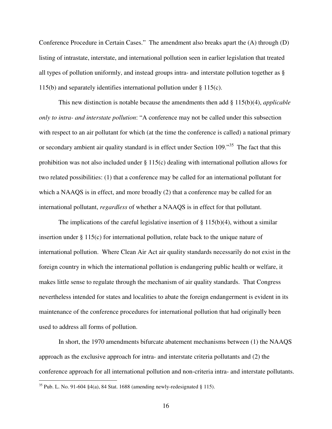Conference Procedure in Certain Cases." The amendment also breaks apart the (A) through (D) listing of intrastate, interstate, and international pollution seen in earlier legislation that treated all types of pollution uniformly, and instead groups intra- and interstate pollution together as § 115(b) and separately identifies international pollution under § 115(c).

This new distinction is notable because the amendments then add § 115(b)(4), *applicable only to intra- and interstate pollution*: "A conference may not be called under this subsection with respect to an air pollutant for which (at the time the conference is called) a national primary or secondary ambient air quality standard is in effect under Section 109.<sup>35</sup> The fact that this prohibition was not also included under § 115(c) dealing with international pollution allows for two related possibilities: (1) that a conference may be called for an international pollutant for which a NAAQS is in effect, and more broadly (2) that a conference may be called for an international pollutant, *regardless* of whether a NAAQS is in effect for that pollutant.

The implications of the careful legislative insertion of  $\S 115(b)(4)$ , without a similar insertion under  $\S 115(c)$  for international pollution, relate back to the unique nature of international pollution. Where Clean Air Act air quality standards necessarily do not exist in the foreign country in which the international pollution is endangering public health or welfare, it makes little sense to regulate through the mechanism of air quality standards. That Congress nevertheless intended for states and localities to abate the foreign endangerment is evident in its maintenance of the conference procedures for international pollution that had originally been used to address all forms of pollution.

In short, the 1970 amendments bifurcate abatement mechanisms between (1) the NAAQS approach as the exclusive approach for intra- and interstate criteria pollutants and (2) the conference approach for all international pollution and non-criteria intra- and interstate pollutants.

<sup>&</sup>lt;sup>35</sup> Pub. L. No. 91-604 §4(a), 84 Stat. 1688 (amending newly-redesignated § 115).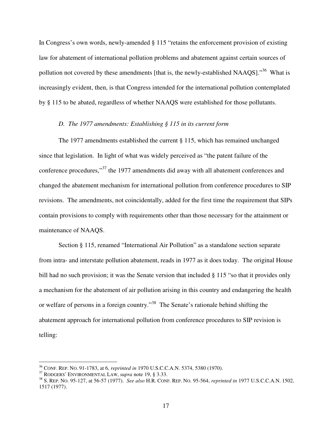In Congress's own words, newly-amended § 115 "retains the enforcement provision of existing law for abatement of international pollution problems and abatement against certain sources of pollution not covered by these amendments [that is, the newly-established NAAQS]."<sup>36</sup> What is increasingly evident, then, is that Congress intended for the international pollution contemplated by § 115 to be abated, regardless of whether NAAQS were established for those pollutants.

## *D. The 1977 amendments: Establishing § 115 in its current form*

 The 1977 amendments established the current § 115, which has remained unchanged since that legislation. In light of what was widely perceived as "the patent failure of the conference procedures,"<sup>37</sup> the 1977 amendments did away with all abatement conferences and changed the abatement mechanism for international pollution from conference procedures to SIP revisions. The amendments, not coincidentally, added for the first time the requirement that SIPs contain provisions to comply with requirements other than those necessary for the attainment or maintenance of NAAQS.

Section § 115, renamed "International Air Pollution" as a standalone section separate from intra- and interstate pollution abatement, reads in 1977 as it does today. The original House bill had no such provision; it was the Senate version that included § 115 "so that it provides only a mechanism for the abatement of air pollution arising in this country and endangering the health or welfare of persons in a foreign country."<sup>38</sup> The Senate's rationale behind shifting the abatement approach for international pollution from conference procedures to SIP revision is telling:

<sup>36</sup> CONF. REP. NO. 91-1783, at 6, *reprinted in* 1970 U.S.C.C.A.N. 5374, 5380 (1970).

<sup>37</sup> RODGERS' ENVIRONMENTAL LAW, *supra* note 19, § 3.33.

<sup>38</sup> S. REP. NO. 95-127, at 56-57 (1977). *See also* H.R. CONF. REP. NO. 95-564, *reprinted in* 1977 U.S.C.C.A.N. 1502, 1517 (1977).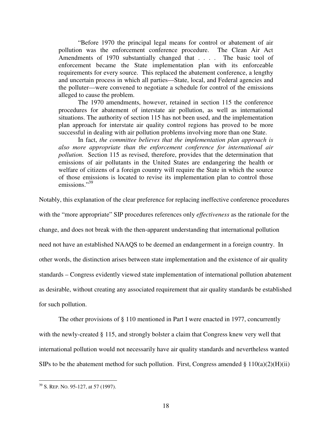"Before 1970 the principal legal means for control or abatement of air pollution was the enforcement conference procedure. The Clean Air Act Amendments of 1970 substantially changed that . . . . The basic tool of enforcement became the State implementation plan with its enforceable requirements for every source. This replaced the abatement conference, a lengthy and uncertain process in which all parties—State, local, and Federal agencies and the polluter—were convened to negotiate a schedule for control of the emissions alleged to cause the problem.

The 1970 amendments, however, retained in section 115 the conference procedures for abatement of interstate air pollution, as well as international situations. The authority of section 115 has not been used, and the implementation plan approach for interstate air quality control regions has proved to be more successful in dealing with air pollution problems involving more than one State.

In fact, *the committee believes that the implementation plan approach is also more appropriate than the enforcement conference for international air pollution.* Section 115 as revised, therefore, provides that the determination that emissions of air pollutants in the United States are endangering the health or welfare of citizens of a foreign country will require the State in which the source of those emissions is located to revise its implementation plan to control those emissions."<sup>39</sup>

Notably, this explanation of the clear preference for replacing ineffective conference procedures

with the "more appropriate" SIP procedures references only *effectiveness* as the rationale for the change, and does not break with the then-apparent understanding that international pollution need not have an established NAAQS to be deemed an endangerment in a foreign country. In other words, the distinction arises between state implementation and the existence of air quality standards – Congress evidently viewed state implementation of international pollution abatement as desirable, without creating any associated requirement that air quality standards be established for such pollution.

 The other provisions of § 110 mentioned in Part I were enacted in 1977, concurrently with the newly-created § 115, and strongly bolster a claim that Congress knew very well that international pollution would not necessarily have air quality standards and nevertheless wanted SIPs to be the abatement method for such pollution. First, Congress amended  $\S 110(a)(2)(H)(ii)$ 

<sup>&</sup>lt;sup>39</sup> S. REP. No. 95-127, at 57 (1997).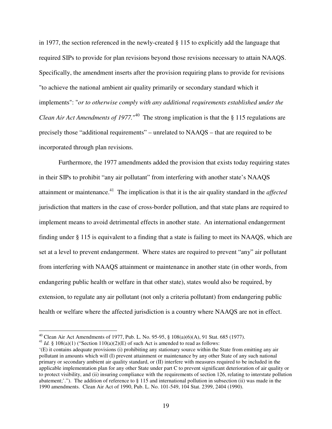in 1977, the section referenced in the newly-created § 115 to explicitly add the language that required SIPs to provide for plan revisions beyond those revisions necessary to attain NAAQS. Specifically, the amendment inserts after the provision requiring plans to provide for revisions "to achieve the national ambient air quality primarily or secondary standard which it implements": "*or to otherwise comply with any additional requirements established under the Clean Air Act Amendments of 1977*.<sup>40</sup> The strong implication is that the § 115 regulations are precisely those "additional requirements" – unrelated to NAAQS – that are required to be incorporated through plan revisions.

 Furthermore, the 1977 amendments added the provision that exists today requiring states in their SIPs to prohibit "any air pollutant" from interfering with another state's NAAQS attainment or maintenance.<sup>41</sup> The implication is that it is the air quality standard in the *affected*  jurisdiction that matters in the case of cross-border pollution, and that state plans are required to implement means to avoid detrimental effects in another state. An international endangerment finding under § 115 is equivalent to a finding that a state is failing to meet its NAAQS, which are set at a level to prevent endangerment. Where states are required to prevent "any" air pollutant from interfering with NAAQS attainment or maintenance in another state (in other words, from endangering public health or welfare in that other state), states would also be required, by extension, to regulate any air pollutant (not only a criteria pollutant) from endangering public health or welfare where the affected jurisdiction is a country where NAAQS are not in effect.

<sup>&</sup>lt;sup>40</sup> Clean Air Act Amendments of 1977, Pub. L. No. 95-95, §  $108(a)(6)(A)$ , 91 Stat. 685 (1977).

<sup>&</sup>lt;sup>41</sup> *Id.* § 108(a)(1) ("Section 110(a)(2)(E) of such Act is amended to read as follows:

<sup>&#</sup>x27;(E) it contains adequate provisions (i) prohibiting any stationary source within the State from emitting any air pollutant in amounts which will (I) prevent attainment or maintenance by any other State of any such national primary or secondary ambient air quality standard, or (II) interfere with measures required to be included in the applicable implementation plan for any other State under part C to prevent significant deterioration of air quality or to protect visibility, and (ii) insuring compliance with the requirements of section 126, relating to interstate pollution abatement;'."). The addition of reference to  $\S 115$  and international pollution in subsection (ii) was made in the 1990 amendments. Clean Air Act of 1990, Pub. L. No. 101-549, 104 Stat. 2399, 2404 (1990).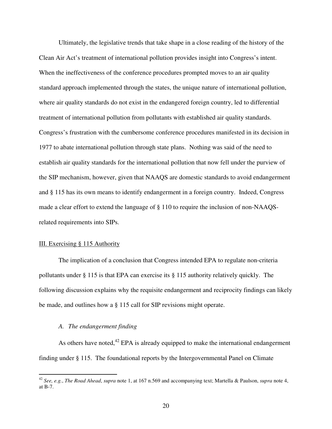Ultimately, the legislative trends that take shape in a close reading of the history of the Clean Air Act's treatment of international pollution provides insight into Congress's intent. When the ineffectiveness of the conference procedures prompted moves to an air quality standard approach implemented through the states, the unique nature of international pollution, where air quality standards do not exist in the endangered foreign country, led to differential treatment of international pollution from pollutants with established air quality standards. Congress's frustration with the cumbersome conference procedures manifested in its decision in 1977 to abate international pollution through state plans. Nothing was said of the need to establish air quality standards for the international pollution that now fell under the purview of the SIP mechanism, however, given that NAAQS are domestic standards to avoid endangerment and § 115 has its own means to identify endangerment in a foreign country. Indeed, Congress made a clear effort to extend the language of § 110 to require the inclusion of non-NAAQSrelated requirements into SIPs.

## III. Exercising § 115 Authority

 $\overline{a}$ 

 The implication of a conclusion that Congress intended EPA to regulate non-criteria pollutants under § 115 is that EPA can exercise its § 115 authority relatively quickly. The following discussion explains why the requisite endangerment and reciprocity findings can likely be made, and outlines how a § 115 call for SIP revisions might operate.

# *A. The endangerment finding*

As others have noted, $42$  EPA is already equipped to make the international endangerment finding under § 115. The foundational reports by the Intergovernmental Panel on Climate

<sup>42</sup> *See, e.g.*, *The Road Ahead*, *supra* note 1, at 167 n.569 and accompanying text; Martella & Paulson, *supra* note 4, at B-7.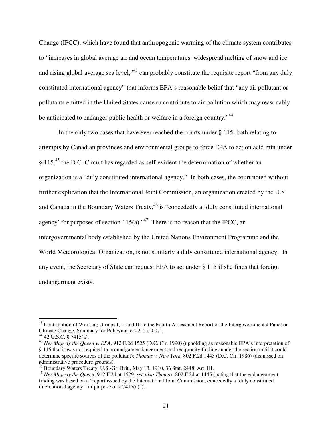Change (IPCC), which have found that anthropogenic warming of the climate system contributes to "increases in global average air and ocean temperatures, widespread melting of snow and ice and rising global average sea level,<sup>43</sup> can probably constitute the requisite report "from any duly constituted international agency" that informs EPA's reasonable belief that "any air pollutant or pollutants emitted in the United States cause or contribute to air pollution which may reasonably be anticipated to endanger public health or welfare in a foreign country."<sup>44</sup>

In the only two cases that have ever reached the courts under § 115, both relating to attempts by Canadian provinces and environmental groups to force EPA to act on acid rain under  $\S$  115,<sup>45</sup> the D.C. Circuit has regarded as self-evident the determination of whether an organization is a "duly constituted international agency." In both cases, the court noted without further explication that the International Joint Commission, an organization created by the U.S. and Canada in the Boundary Waters Treaty,<sup>46</sup> is "concededly a 'duly constituted international agency' for purposes of section  $115(a)$ ."<sup>47</sup> There is no reason that the IPCC, an intergovernmental body established by the United Nations Environment Programme and the World Meteorological Organization, is not similarly a duly constituted international agency. In any event, the Secretary of State can request EPA to act under § 115 if she finds that foreign endangerment exists.

<sup>&</sup>lt;sup>43</sup> Contribution of Working Groups I, II and III to the Fourth Assessment Report of the Intergovernmental Panel on Climate Change, Summary for Policymakers 2, 5 (2007).

 $44$  42 U.S.C. § 7415(a).

<sup>45</sup> *Her Majesty the Queen v. EPA*, 912 F.2d 1525 (D.C. Cir. 1990) (upholding as reasonable EPA's interpretation of § 115 that it was not required to promulgate endangerment and reciprocity findings under the section until it could determine specific sources of the pollutant); *Thomas v. New York*, 802 F.2d 1443 (D.C. Cir. 1986) (dismissed on administrative procedure grounds).

<sup>46</sup> Boundary Waters Treaty, U.S.-Gr. Brit., May 13, 1910, 36 Stat. 2448, Art. III.

<sup>47</sup> *Her Majesty the Queen*, 912 F.2d at 1529; *see also Thomas*, 802 F.2d at 1445 (noting that the endangerment finding was based on a "report issued by the International Joint Commission, concededly a 'duly constituted international agency' for purpose of  $\S$  7415(a)").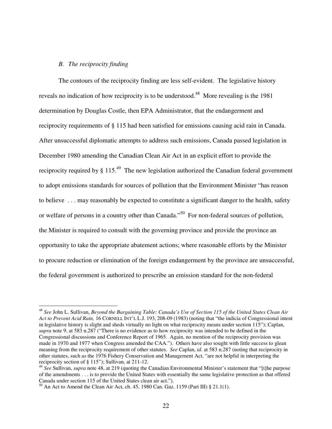## *B. The reciprocity finding*

 $\overline{a}$ 

The contours of the reciprocity finding are less self-evident. The legislative history reveals no indication of how reciprocity is to be understood.<sup>48</sup> More revealing is the 1981 determination by Douglas Costle, then EPA Administrator, that the endangerment and reciprocity requirements of § 115 had been satisfied for emissions causing acid rain in Canada. After unsuccessful diplomatic attempts to address such emissions, Canada passed legislation in December 1980 amending the Canadian Clean Air Act in an explicit effort to provide the reciprocity required by  $\S 115<sup>49</sup>$  The new legislation authorized the Canadian federal government to adopt emissions standards for sources of pollution that the Environment Minister "has reason to believe . . . may reasonably be expected to constitute a significant danger to the health, safety or welfare of persons in a country other than Canada."<sup>50</sup> For non-federal sources of pollution, the Minister is required to consult with the governing province and provide the province an opportunity to take the appropriate abatement actions; where reasonable efforts by the Minister to procure reduction or elimination of the foreign endangerment by the province are unsuccessful, the federal government is authorized to prescribe an emission standard for the non-federal

<sup>48</sup> *See* John L. Sullivan, *Beyond the Bargaining Table: Canada's Use of Section 115 of the United States Clean Air Act to Prevent Acid Rain,* 16 CORNELL INT'L L.J. 193, 208-09 (1983) (noting that "the indicia of Congressional intent in legislative history is slight and sheds virtually no light on what reciprocity means under section 115"); Caplan, *supra* note 9, at 583 n.287 ("There is no evidence as to how reciprocity was intended to be defined in the Congressional discussions and Conference Report of 1965. Again, no mention of the reciprocity provision was made in 1970 and 1977 when Congress amended the CAA."). Others have also sought with little success to glean meaning from the reciprocity requirement of other statutes. *See* Caplan, *id.* at 583 n.287 (noting that reciprocity in other statutes, such as the 1976 Fishery Conservation and Management Act, "are not helpful in interpreting the reciprocity section of § 115"); Sullivan, at 211-12.

<sup>49</sup> *See* Sullivan, *supra* note 48, at 219 (quoting the Canadian Environmental Minister's statement that "[t]he purpose of the amendments . . . is to provide the United States with essentially the same legislative protection as that offered Canada under section 115 of the United States clean air act.").

 $^{50}$  An Act to Amend the Clean Air Act, ch. 45, 1980 Can. Gaz. 1159 (Part III) § 21.1(1).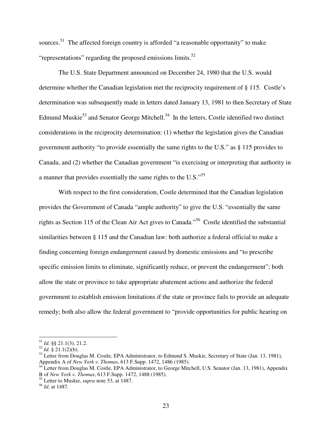sources.<sup>51</sup> The affected foreign country is afforded "a reasonable opportunity" to make "representations" regarding the proposed emissions limits. $52$ 

The U.S. State Department announced on December 24, 1980 that the U.S. would determine whether the Canadian legislation met the reciprocity requirement of § 115. Costle's determination was subsequently made in letters dated January 13, 1981 to then Secretary of State Edmund Muskie<sup>53</sup> and Senator George Mitchell.<sup>54</sup> In the letters, Costle identified two distinct considerations in the reciprocity determination: (1) whether the legislation gives the Canadian government authority "to provide essentially the same rights to the U.S." as § 115 provides to Canada, and (2) whether the Canadian government "is exercising or interpreting that authority in a manner that provides essentially the same rights to the U.S."<sup>55</sup>

With respect to the first consideration, Costle determined that the Canadian legislation provides the Government of Canada "ample authority" to give the U.S. "essentially the same rights as Section 115 of the Clean Air Act gives to Canada."<sup>56</sup> Costle identified the substantial similarities between § 115 and the Canadian law: both authorize a federal official to make a finding concerning foreign endangerment caused by domestic emissions and "to prescribe specific emission limits to eliminate, significantly reduce, or prevent the endangerment"; both allow the state or province to take appropriate abatement actions and authorize the federal government to establish emission limitations if the state or province fails to provide an adequate remedy; both also allow the federal government to "provide opportunities for public hearing on

<sup>51</sup> *Id.* §§ 21.1(3), 21.2.

 $52$  *Id.*  $\frac{8}{3}$  21.1(2)(b).

<sup>&</sup>lt;sup>53</sup> Letter from Douglas M. Costle, EPA Administrator, to Edmund S. Muskie, Secretary of State (Jan. 13, 1981), Appendix A of *New York v. Thomas*, 613 F.Supp. 1472, 1486 (1985).

<sup>&</sup>lt;sup>54</sup> Letter from Douglas M. Costle, EPA Administrator, to George Mitchell, U.S. Senator (Jan. 13, 1981), Appendix B of *New York v. Thomas*, 613 F.Supp. 1472, 1488 (1985).

<sup>55</sup> Letter to Muskie, *supra* note 53, at 1487.

<sup>56</sup> *Id.* at 1487.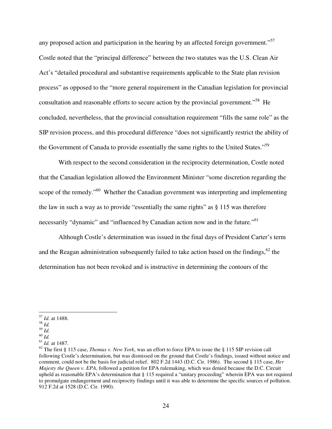any proposed action and participation in the hearing by an affected foreign government."<sup>57</sup> Costle noted that the "principal difference" between the two statutes was the U.S. Clean Air Act's "detailed procedural and substantive requirements applicable to the State plan revision process" as opposed to the "more general requirement in the Canadian legislation for provincial consultation and reasonable efforts to secure action by the provincial government."<sup>58</sup> He concluded, nevertheless, that the provincial consultation requirement "fills the same role" as the SIP revision process, and this procedural difference "does not significantly restrict the ability of the Government of Canada to provide essentially the same rights to the United States."<sup>59</sup>

With respect to the second consideration in the reciprocity determination, Costle noted that the Canadian legislation allowed the Environment Minister "some discretion regarding the scope of the remedy."<sup>60</sup> Whether the Canadian government was interpreting and implementing the law in such a way as to provide "essentially the same rights" as § 115 was therefore necessarily "dynamic" and "influenced by Canadian action now and in the future."<sup>61</sup>

Although Costle's determination was issued in the final days of President Carter's term and the Reagan administration subsequently failed to take action based on the findings,  $62$  the determination has not been revoked and is instructive in determining the contours of the

 $\overline{a}$ <sup>57</sup> *Id.* at 1488.

<sup>58</sup> *Id.* 

<sup>59</sup> *Id.* 

<sup>60</sup> *Id.* 

<sup>61</sup> *Id.* at 1487.

<sup>62</sup> The first § 115 case, *Thomas v. New York*, was an effort to force EPA to issue the § 115 SIP revision call following Costle's determination, but was dismissed on the ground that Costle's findings, issued without notice and comment, could not be the basis for judicial relief. 802 F.2d 1443 (D.C. Cir. 1986). The second § 115 case, *Her Majesty the Queen v. EPA*, followed a petition for EPA rulemaking, which was denied because the D.C. Circuit upheld as reasonable EPA's determination that § 115 required a "unitary proceeding" wherein EPA was not required to promulgate endangerment and reciprocity findings until it was able to determine the specific sources of pollution. 912 F.2d at 1528 (D.C. Cir. 1990).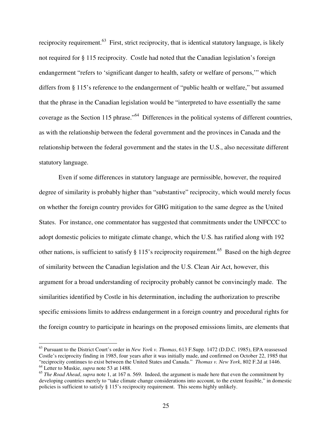reciprocity requirement.<sup>63</sup> First, strict reciprocity, that is identical statutory language, is likely not required for § 115 reciprocity. Costle had noted that the Canadian legislation's foreign endangerment "refers to 'significant danger to health, safety or welfare of persons,'" which differs from § 115's reference to the endangerment of "public health or welfare," but assumed that the phrase in the Canadian legislation would be "interpreted to have essentially the same coverage as the Section 115 phrase."<sup>64</sup> Differences in the political systems of different countries, as with the relationship between the federal government and the provinces in Canada and the relationship between the federal government and the states in the U.S., also necessitate different statutory language.

Even if some differences in statutory language are permissible, however, the required degree of similarity is probably higher than "substantive" reciprocity, which would merely focus on whether the foreign country provides for GHG mitigation to the same degree as the United States. For instance, one commentator has suggested that commitments under the UNFCCC to adopt domestic policies to mitigate climate change, which the U.S. has ratified along with 192 other nations, is sufficient to satisfy  $\S 115$ 's reciprocity requirement.<sup>65</sup> Based on the high degree of similarity between the Canadian legislation and the U.S. Clean Air Act, however, this argument for a broad understanding of reciprocity probably cannot be convincingly made. The similarities identified by Costle in his determination, including the authorization to prescribe specific emissions limits to address endangerment in a foreign country and procedural rights for the foreign country to participate in hearings on the proposed emissions limits, are elements that

<sup>63</sup> Pursuant to the District Court's order in *New York v. Thomas*, 613 F.Supp. 1472 (D.D.C. 1985), EPA reassessed Costle's reciprocity finding in 1985, four years after it was initially made, and confirmed on October 22, 1985 that "reciprocity continues to exist between the United States and Canada." *Thomas v. New York*, 802 F.2d at 1446. <sup>64</sup> Letter to Muskie, *supra* note 53 at 1488.

<sup>&</sup>lt;sup>65</sup> *The Road Ahead, supra* note 1, at 167 n. 569. Indeed, the argument is made here that even the commitment by developing countries merely to "take climate change considerations into account, to the extent feasible," in domestic policies is sufficient to satisfy § 115's reciprocity requirement. This seems highly unlikely.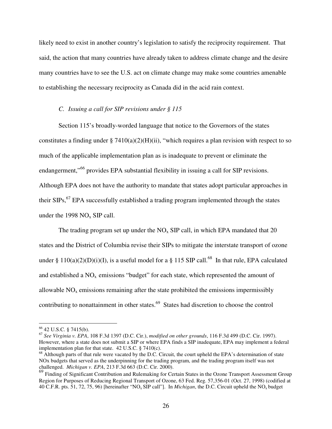likely need to exist in another country's legislation to satisfy the reciprocity requirement. That said, the action that many countries have already taken to address climate change and the desire many countries have to see the U.S. act on climate change may make some countries amenable to establishing the necessary reciprocity as Canada did in the acid rain context.

### *C. Issuing a call for SIP revisions under § 115*

Section 115's broadly-worded language that notice to the Governors of the states constitutes a finding under § 7410(a)(2)(H)(ii), "which requires a plan revision with respect to so much of the applicable implementation plan as is inadequate to prevent or eliminate the endangerment,<sup>"66</sup> provides EPA substantial flexibility in issuing a call for SIP revisions. Although EPA does not have the authority to mandate that states adopt particular approaches in their  $SIPs$ ,  $^{67}$  EPA successfully established a trading program implemented through the states under the 1998  $NO<sub>x</sub>$  SIP call.

The trading program set up under the  $NO<sub>x</sub>$  SIP call, in which EPA mandated that 20 states and the District of Columbia revise their SIPs to mitigate the interstate transport of ozone under § 110(a)(2)(D)(i)(I), is a useful model for a § 115 SIP call.<sup>68</sup> In that rule, EPA calculated and established a  $NO<sub>x</sub>$  emissions "budget" for each state, which represented the amount of allowable  $NO<sub>x</sub>$  emissions remaining after the state prohibited the emissions impermissibly contributing to nonattainment in other states.<sup>69</sup> States had discretion to choose the control

<sup>66</sup> 42 U.S.C. § 7415(b).

<sup>67</sup> *See Virginia v. EPA*, 108 F.3d 1397 (D.C. Cir.), *modified on other grounds*, 116 F.3d 499 (D.C. Cir. 1997). However, where a state does not submit a SIP or where EPA finds a SIP inadequate, EPA may implement a federal implementation plan for that state. 42 U.S.C. § 7410(c).

 $68$  Although parts of that rule were vacated by the D.C. Circuit, the court upheld the EPA's determination of state NOx budgets that served as the underpinning for the trading program, and the trading program itself was not challenged. *Michigan v. EPA*, 213 F.3d 663 (D.C. Cir. 2000).

<sup>&</sup>lt;sup>69</sup> Finding of Significant Contribution and Rulemaking for Certain States in the Ozone Transport Assessment Group Region for Purposes of Reducing Regional Transport of Ozone, 63 Fed. Reg. 57,356-01 (Oct. 27, 1998) (codified at 40 C.F.R. pts. 51, 72, 75, 96) [hereinafter "NOx SIP call"]. In *Michigan*, the D.C. Circuit upheld the NOx budget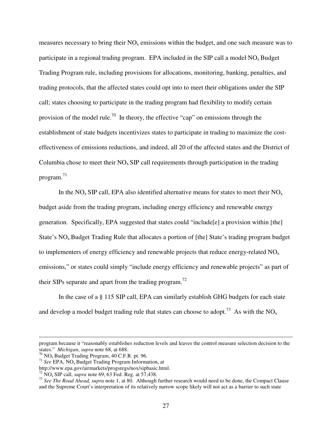measures necessary to bring their  $NO<sub>x</sub>$  emissions within the budget, and one such measure was to participate in a regional trading program. EPA included in the SIP call a model  $NO<sub>x</sub>$  Budget Trading Program rule, including provisions for allocations, monitoring, banking, penalties, and trading protocols, that the affected states could opt into to meet their obligations under the SIP call; states choosing to participate in the trading program had flexibility to modify certain provision of the model rule.<sup>70</sup> In theory, the effective "cap" on emissions through the establishment of state budgets incentivizes states to participate in trading to maximize the costeffectiveness of emissions reductions, and indeed, all 20 of the affected states and the District of Columbia chose to meet their  $NO<sub>x</sub>$  SIP call requirements through participation in the trading program.<sup>71</sup>

In the  $NO<sub>x</sub>$  SIP call, EPA also identified alternative means for states to meet their  $NO<sub>x</sub>$ budget aside from the trading program, including energy efficiency and renewable energy generation. Specifically, EPA suggested that states could "include[e] a provision within [the] State's  $NO<sub>x</sub>$  Budget Trading Rule that allocates a portion of [the] State's trading program budget to implementers of energy efficiency and renewable projects that reduce energy-related  $NO<sub>x</sub>$ emissions," or states could simply "include energy efficiency and renewable projects" as part of their SIPs separate and apart from the trading program.<sup>72</sup>

In the case of a § 115 SIP call, EPA can similarly establish GHG budgets for each state and develop a model budget trading rule that states can choose to adopt.<sup>73</sup> As with the NO<sub>x</sub>

program because it "reasonably establishes reduction levels and leaves the control measure selection decision to the states." *Michigan*, *supra* note 68, at 688.

 $70$  NO<sub>x</sub> Budget Trading Program, 40 C.F.R. pt. 96.

<sup>&</sup>lt;sup>71</sup> See EPA, NO<sub>x</sub> Budget Trading Program Information, at

http://www.epa.gov/airmarkets/progsregs/nox/sipbasic.html.

<sup>72</sup> NOx SIP call, *supra* note 69, 63 Fed. Reg. at 57,438.

<sup>73</sup> *See The Road Ahead, supra* note 1, at 80. Although further research would need to be done, the Compact Clause and the Supreme Court's interpretation of its relatively narrow scope likely will not act as a barrier to such state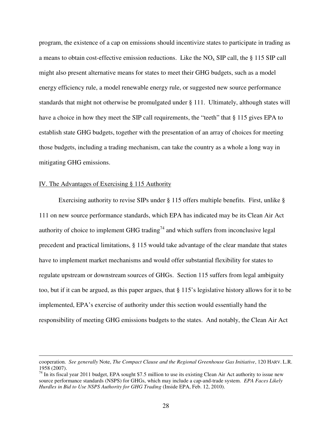program, the existence of a cap on emissions should incentivize states to participate in trading as a means to obtain cost-effective emission reductions. Like the  $NO<sub>x</sub>$  SIP call, the § 115 SIP call might also present alternative means for states to meet their GHG budgets, such as a model energy efficiency rule, a model renewable energy rule, or suggested new source performance standards that might not otherwise be promulgated under § 111. Ultimately, although states will have a choice in how they meet the SIP call requirements, the "teeth" that § 115 gives EPA to establish state GHG budgets, together with the presentation of an array of choices for meeting those budgets, including a trading mechanism, can take the country as a whole a long way in mitigating GHG emissions.

## IV. The Advantages of Exercising § 115 Authority

 $\overline{a}$ 

Exercising authority to revise SIPs under § 115 offers multiple benefits. First, unlike § 111 on new source performance standards, which EPA has indicated may be its Clean Air Act authority of choice to implement GHG trading<sup>74</sup> and which suffers from inconclusive legal precedent and practical limitations, § 115 would take advantage of the clear mandate that states have to implement market mechanisms and would offer substantial flexibility for states to regulate upstream or downstream sources of GHGs. Section 115 suffers from legal ambiguity too, but if it can be argued, as this paper argues, that § 115's legislative history allows for it to be implemented, EPA's exercise of authority under this section would essentially hand the responsibility of meeting GHG emissions budgets to the states. And notably, the Clean Air Act

cooperation. *See generally* Note, *The Compact Clause and the Regional Greenhouse Gas Initiative*, 120 HARV. L.R. 1958 (2007).

 $74$  In its fiscal year 2011 budget, EPA sought \$7.5 million to use its existing Clean Air Act authority to issue new source performance standards (NSPS) for GHGs, which may include a cap-and-trade system. *EPA Faces Likely Hurdles in Bid to Use NSPS Authority for GHG Trading* (Inside EPA, Feb. 12, 2010).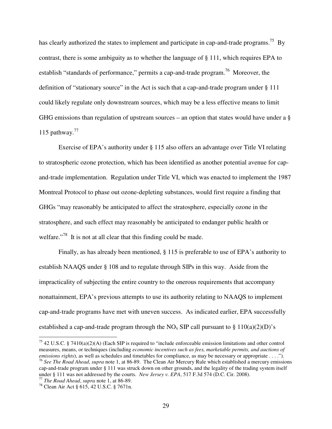has clearly authorized the states to implement and participate in cap-and-trade programs.<sup>75</sup> By contrast, there is some ambiguity as to whether the language of § 111, which requires EPA to establish "standards of performance," permits a cap-and-trade program.<sup>76</sup> Moreover, the definition of "stationary source" in the Act is such that a cap-and-trade program under § 111 could likely regulate only downstream sources, which may be a less effective means to limit GHG emissions than regulation of upstream sources – an option that states would have under a § 115 pathway. $^{77}$ 

Exercise of EPA's authority under § 115 also offers an advantage over Title VI relating to stratospheric ozone protection, which has been identified as another potential avenue for capand-trade implementation. Regulation under Title VI, which was enacted to implement the 1987 Montreal Protocol to phase out ozone-depleting substances, would first require a finding that GHGs "may reasonably be anticipated to affect the stratosphere, especially ozone in the stratosphere, and such effect may reasonably be anticipated to endanger public health or welfare."<sup>78</sup> It is not at all clear that this finding could be made.

Finally, as has already been mentioned, § 115 is preferable to use of EPA's authority to establish NAAQS under § 108 and to regulate through SIPs in this way. Aside from the impracticality of subjecting the entire country to the onerous requirements that accompany nonattainment, EPA's previous attempts to use its authority relating to NAAQS to implement cap-and-trade programs have met with uneven success. As indicated earlier, EPA successfully established a cap-and-trade program through the  $NO<sub>x</sub>$  SIP call pursuant to § 110(a)(2)(D)'s

<sup>&</sup>lt;sup>75</sup> 42 U.S.C. § 7410(a)(2)(A) (Each SIP is required to "include enforceable emission limitations and other control measures, means, or techniques (including *economic incentives such as fees, marketable permits, and auctions of emissions rights*), as well as schedules and timetables for compliance, as may be necessary or appropriate . . . ."). <sup>76</sup> *See The Road Ahead*, *supra* note 1, at 86-89. The Clean Air Mercury Rule which established a mercury emissions cap-and-trade program under § 111 was struck down on other grounds, and the legality of the trading system itself under § 111 was not addressed by the courts. *New Jersey v. EPA*, 517 F.3d 574 (D.C. Cir. 2008).

<sup>77</sup> *The Road Ahead*, *supra* note 1, at 86-89.

<sup>78</sup> Clean Air Act § 615, 42 U.S.C. § 7671n.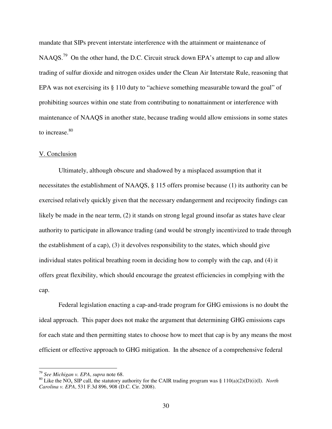mandate that SIPs prevent interstate interference with the attainment or maintenance of NAAQS.<sup>79</sup> On the other hand, the D.C. Circuit struck down EPA's attempt to cap and allow trading of sulfur dioxide and nitrogen oxides under the Clean Air Interstate Rule, reasoning that EPA was not exercising its § 110 duty to "achieve something measurable toward the goal" of prohibiting sources within one state from contributing to nonattainment or interference with maintenance of NAAQS in another state, because trading would allow emissions in some states to increase.<sup>80</sup>

#### V. Conclusion

Ultimately, although obscure and shadowed by a misplaced assumption that it necessitates the establishment of NAAQS, § 115 offers promise because (1) its authority can be exercised relatively quickly given that the necessary endangerment and reciprocity findings can likely be made in the near term, (2) it stands on strong legal ground insofar as states have clear authority to participate in allowance trading (and would be strongly incentivized to trade through the establishment of a cap), (3) it devolves responsibility to the states, which should give individual states political breathing room in deciding how to comply with the cap, and (4) it offers great flexibility, which should encourage the greatest efficiencies in complying with the cap.

Federal legislation enacting a cap-and-trade program for GHG emissions is no doubt the ideal approach. This paper does not make the argument that determining GHG emissions caps for each state and then permitting states to choose how to meet that cap is by any means the most efficient or effective approach to GHG mitigation. In the absence of a comprehensive federal

<sup>79</sup> *See Michigan v. EPA*, *supra* note 68.

<sup>&</sup>lt;sup>80</sup> Like the NO<sub>x</sub> SIP call, the statutory authority for the CAIR trading program was § 110(a)(2)(D)(i)(I). *North Carolina v. EPA*, 531 F.3d 896, 908 (D.C. Cir. 2008).